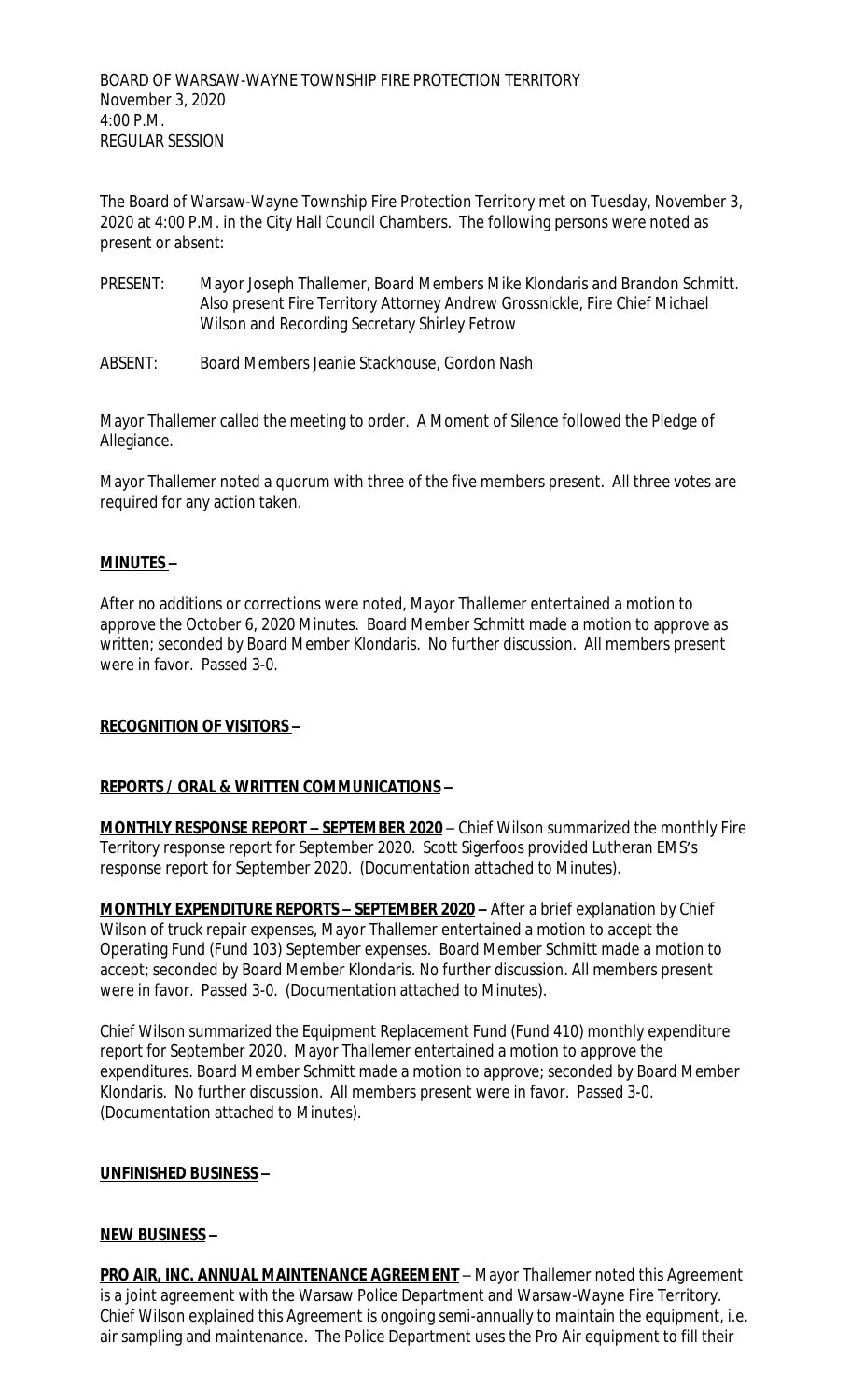The Board of Warsaw-Wayne Township Fire Protection Territory met on Tuesday, November 3, 2020 at 4:00 P.M. in the City Hall Council Chambers. The following persons were noted as present or absent:

- PRESENT: Mayor Joseph Thallemer, Board Members Mike Klondaris and Brandon Schmitt. Also present Fire Territory Attorney Andrew Grossnickle, Fire Chief Michael Wilson and Recording Secretary Shirley Fetrow
- ABSENT: Board Members Jeanie Stackhouse, Gordon Nash

Mayor Thallemer called the meeting to order. A Moment of Silence followed the Pledge of Allegiance.

Mayor Thallemer noted a quorum with three of the five members present. All three votes are required for any action taken.

#### **MINUTES –**

After no additions or corrections were noted, Mayor Thallemer entertained a motion to approve the October 6, 2020 Minutes. Board Member Schmitt made a motion to approve as written; seconded by Board Member Klondaris. No further discussion. All members present were in favor. Passed 3-0.

### **RECOGNITION OF VISITORS –**

### **REPORTS / ORAL & WRITTEN COMMUNICATIONS –**

**MONTHLY RESPONSE REPORT – SEPTEMBER 2020** – Chief Wilson summarized the monthly Fire Territory response report for September 2020. Scott Sigerfoos provided Lutheran EMS's response report for September 2020. (Documentation attached to Minutes).

**MONTHLY EXPENDITURE REPORTS – SEPTEMBER 2020 –** After a brief explanation by Chief Wilson of truck repair expenses, Mayor Thallemer entertained a motion to accept the Operating Fund (Fund 103) September expenses. Board Member Schmitt made a motion to accept; seconded by Board Member Klondaris. No further discussion. All members present were in favor. Passed 3-0. (Documentation attached to Minutes).

Chief Wilson summarized the Equipment Replacement Fund (Fund 410) monthly expenditure report for September 2020. Mayor Thallemer entertained a motion to approve the expenditures. Board Member Schmitt made a motion to approve; seconded by Board Member Klondaris. No further discussion. All members present were in favor. Passed 3-0. (Documentation attached to Minutes).

### **UNFINISHED BUSINESS –**

### **NEW BUSINESS –**

**PRO AIR, INC. ANNUAL MAINTENANCE AGREEMENT** - Mayor Thallemer noted this Agreement is a joint agreement with the Warsaw Police Department and Warsaw-Wayne Fire Territory. Chief Wilson explained this Agreement is ongoing semi-annually to maintain the equipment, i.e. air sampling and maintenance. The Police Department uses the Pro Air equipment to fill their